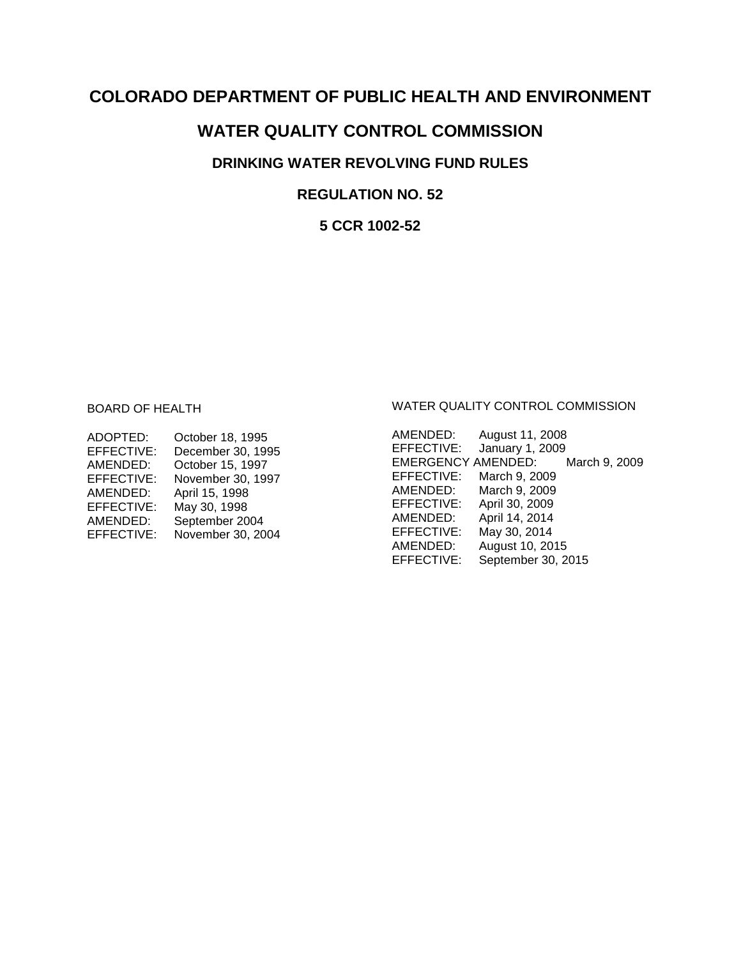# **COLORADO DEPARTMENT OF PUBLIC HEALTH AND ENVIRONMENT**

# **WATER QUALITY CONTROL COMMISSION**

# **DRINKING WATER REVOLVING FUND RULES**

# **REGULATION NO. 52**

**5 CCR 1002-52**

# BOARD OF HEALTH

| ADOPTED:   | October 18, 1995  |
|------------|-------------------|
| EFFECTIVE: | December 30, 1995 |
| AMENDED:   | October 15, 1997  |
| EFFECTIVE: | November 30, 1997 |
| AMENDED:   | April 15, 1998    |
| EFFECTIVE: | May 30, 1998      |
| AMENDED:   | September 2004    |
| EFFECTIVE: | November 30, 2004 |
|            |                   |

#### WATER QUALITY CONTROL COMMISSION

| AMENDED:           | August 11, 2008    |               |
|--------------------|--------------------|---------------|
| EFFECTIVE:         | January 1, 2009    |               |
| EMERGENCY AMENDED: |                    | March 9, 2009 |
| EFFECTIVE:         | March 9, 2009      |               |
| AMENDED:           | March 9, 2009      |               |
| EFFECTIVE:         | April 30, 2009     |               |
| AMENDED:           | April 14, 2014     |               |
| EFFECTIVE:         | May 30, 2014       |               |
| AMENDED:           | August 10, 2015    |               |
| EFFECTIVE:         | September 30, 2015 |               |
|                    |                    |               |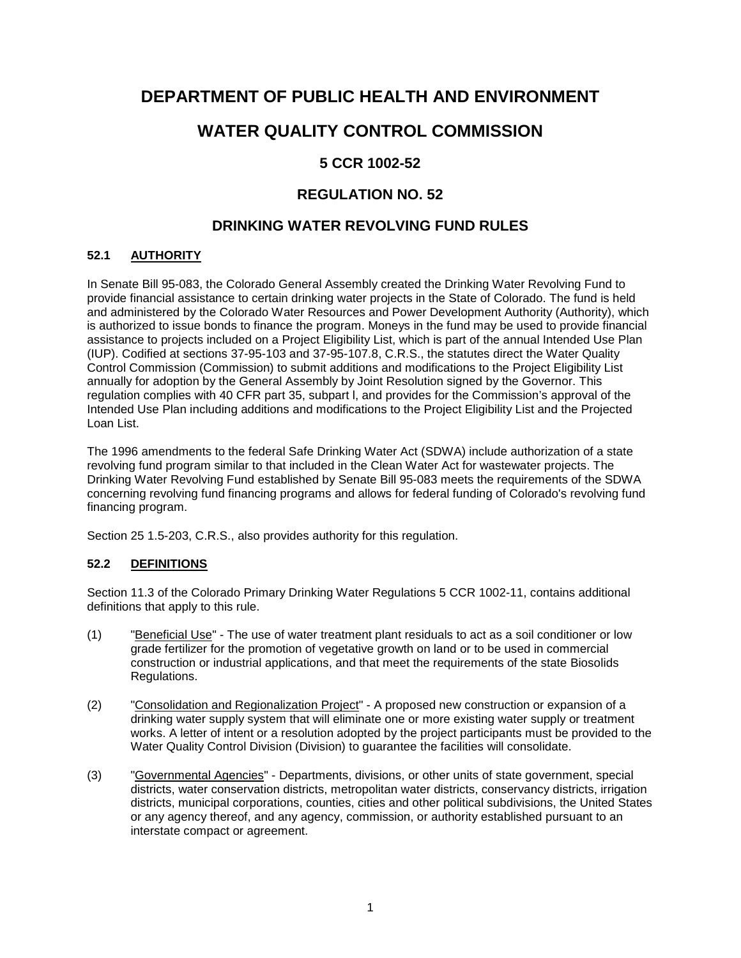# **DEPARTMENT OF PUBLIC HEALTH AND ENVIRONMENT**

# **WATER QUALITY CONTROL COMMISSION**

# **5 CCR 1002-52**

# **REGULATION NO. 52**

# **DRINKING WATER REVOLVING FUND RULES**

# **52.1 AUTHORITY**

In Senate Bill 95-083, the Colorado General Assembly created the Drinking Water Revolving Fund to provide financial assistance to certain drinking water projects in the State of Colorado. The fund is held and administered by the Colorado Water Resources and Power Development Authority (Authority), which is authorized to issue bonds to finance the program. Moneys in the fund may be used to provide financial assistance to projects included on a Project Eligibility List, which is part of the annual Intended Use Plan (IUP). Codified at sections 37-95-103 and 37-95-107.8, C.R.S., the statutes direct the Water Quality Control Commission (Commission) to submit additions and modifications to the Project Eligibility List annually for adoption by the General Assembly by Joint Resolution signed by the Governor. This regulation complies with 40 CFR part 35, subpart l, and provides for the Commission's approval of the Intended Use Plan including additions and modifications to the Project Eligibility List and the Projected Loan List.

The 1996 amendments to the federal Safe Drinking Water Act (SDWA) include authorization of a state revolving fund program similar to that included in the Clean Water Act for wastewater projects. The Drinking Water Revolving Fund established by Senate Bill 95-083 meets the requirements of the SDWA concerning revolving fund financing programs and allows for federal funding of Colorado's revolving fund financing program.

Section 25 1.5-203, C.R.S., also provides authority for this regulation.

# **52.2 DEFINITIONS**

Section 11.3 of the Colorado Primary Drinking Water Regulations 5 CCR 1002-11, contains additional definitions that apply to this rule.

- (1) "Beneficial Use" The use of water treatment plant residuals to act as a soil conditioner or low grade fertilizer for the promotion of vegetative growth on land or to be used in commercial construction or industrial applications, and that meet the requirements of the state Biosolids Regulations.
- (2) "Consolidation and Regionalization Project" A proposed new construction or expansion of a drinking water supply system that will eliminate one or more existing water supply or treatment works. A letter of intent or a resolution adopted by the project participants must be provided to the Water Quality Control Division (Division) to guarantee the facilities will consolidate.
- (3) "Governmental Agencies" Departments, divisions, or other units of state government, special districts, water conservation districts, metropolitan water districts, conservancy districts, irrigation districts, municipal corporations, counties, cities and other political subdivisions, the United States or any agency thereof, and any agency, commission, or authority established pursuant to an interstate compact or agreement.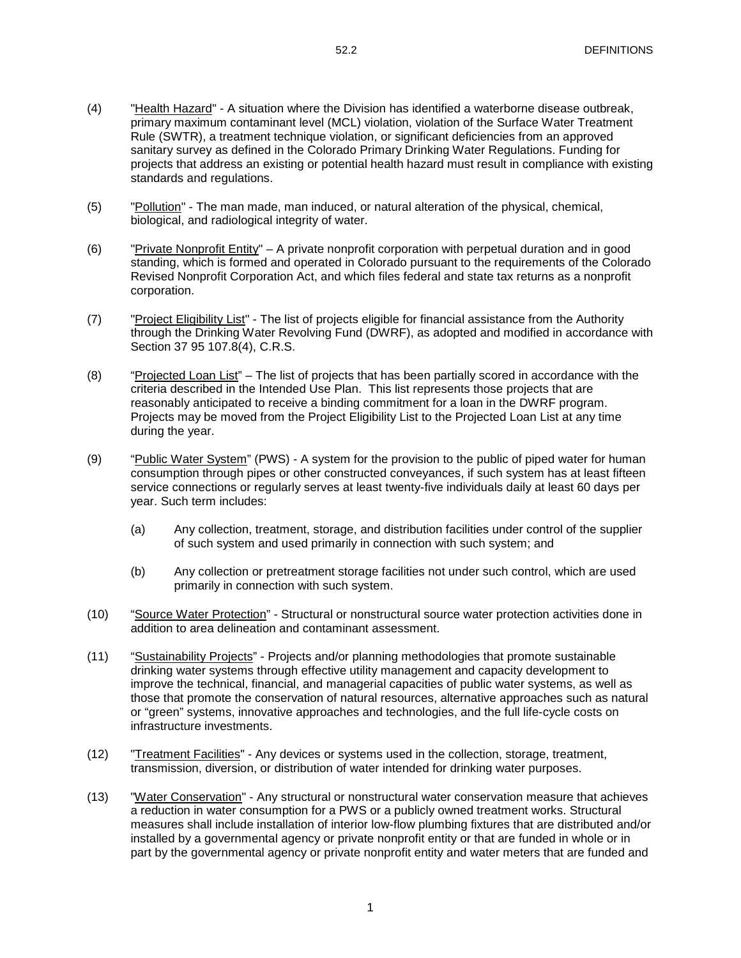- (4) "Health Hazard" A situation where the Division has identified a waterborne disease outbreak, primary maximum contaminant level (MCL) violation, violation of the Surface Water Treatment Rule (SWTR), a treatment technique violation, or significant deficiencies from an approved sanitary survey as defined in the Colorado Primary Drinking Water Regulations. Funding for projects that address an existing or potential health hazard must result in compliance with existing standards and regulations.
- (5) "Pollution" The man made, man induced, or natural alteration of the physical, chemical, biological, and radiological integrity of water.
- (6) "Private Nonprofit Entity" A private nonprofit corporation with perpetual duration and in good standing, which is formed and operated in Colorado pursuant to the requirements of the Colorado Revised Nonprofit Corporation Act, and which files federal and state tax returns as a nonprofit corporation.
- (7) "Project Eligibility List" The list of projects eligible for financial assistance from the Authority through the Drinking Water Revolving Fund (DWRF), as adopted and modified in accordance with Section 37 95 107.8(4), C.R.S.
- (8) "Projected Loan List" The list of projects that has been partially scored in accordance with the criteria described in the Intended Use Plan. This list represents those projects that are reasonably anticipated to receive a binding commitment for a loan in the DWRF program. Projects may be moved from the Project Eligibility List to the Projected Loan List at any time during the year.
- (9) "Public Water System" (PWS) A system for the provision to the public of piped water for human consumption through pipes or other constructed conveyances, if such system has at least fifteen service connections or regularly serves at least twenty-five individuals daily at least 60 days per year. Such term includes:
	- (a) Any collection, treatment, storage, and distribution facilities under control of the supplier of such system and used primarily in connection with such system; and
	- (b) Any collection or pretreatment storage facilities not under such control, which are used primarily in connection with such system.
- (10) "Source Water Protection" Structural or nonstructural source water protection activities done in addition to area delineation and contaminant assessment.
- (11) "Sustainability Projects" Projects and/or planning methodologies that promote sustainable drinking water systems through effective utility management and capacity development to improve the technical, financial, and managerial capacities of public water systems, as well as those that promote the conservation of natural resources, alternative approaches such as natural or "green" systems, innovative approaches and technologies, and the full life-cycle costs on infrastructure investments.
- (12) "Treatment Facilities" Any devices or systems used in the collection, storage, treatment, transmission, diversion, or distribution of water intended for drinking water purposes.
- (13) "Water Conservation" Any structural or nonstructural water conservation measure that achieves a reduction in water consumption for a PWS or a publicly owned treatment works. Structural measures shall include installation of interior low-flow plumbing fixtures that are distributed and/or installed by a governmental agency or private nonprofit entity or that are funded in whole or in part by the governmental agency or private nonprofit entity and water meters that are funded and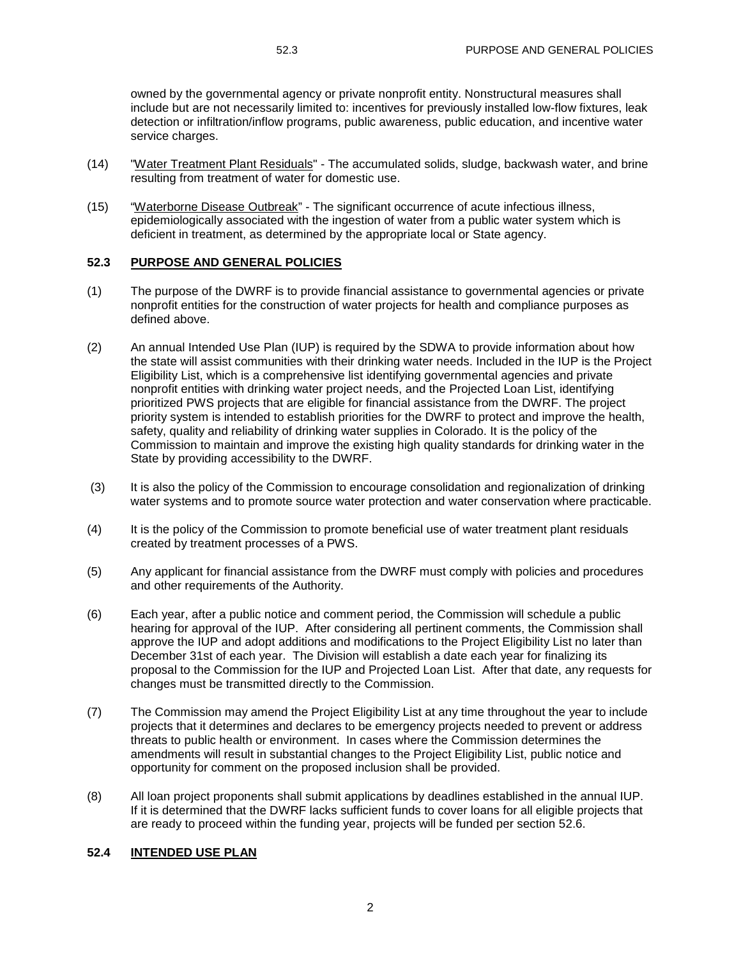owned by the governmental agency or private nonprofit entity. Nonstructural measures shall include but are not necessarily limited to: incentives for previously installed low-flow fixtures, leak detection or infiltration/inflow programs, public awareness, public education, and incentive water service charges.

- (14) "Water Treatment Plant Residuals" The accumulated solids, sludge, backwash water, and brine resulting from treatment of water for domestic use.
- (15) "Waterborne Disease Outbreak" The significant occurrence of acute infectious illness, epidemiologically associated with the ingestion of water from a public water system which is deficient in treatment, as determined by the appropriate local or State agency.

#### **52.3 PURPOSE AND GENERAL POLICIES**

- (1) The purpose of the DWRF is to provide financial assistance to governmental agencies or private nonprofit entities for the construction of water projects for health and compliance purposes as defined above.
- (2) An annual Intended Use Plan (IUP) is required by the SDWA to provide information about how the state will assist communities with their drinking water needs. Included in the IUP is the Project Eligibility List, which is a comprehensive list identifying governmental agencies and private nonprofit entities with drinking water project needs, and the Projected Loan List, identifying prioritized PWS projects that are eligible for financial assistance from the DWRF. The project priority system is intended to establish priorities for the DWRF to protect and improve the health, safety, quality and reliability of drinking water supplies in Colorado. It is the policy of the Commission to maintain and improve the existing high quality standards for drinking water in the State by providing accessibility to the DWRF.
- (3) It is also the policy of the Commission to encourage consolidation and regionalization of drinking water systems and to promote source water protection and water conservation where practicable.
- (4) It is the policy of the Commission to promote beneficial use of water treatment plant residuals created by treatment processes of a PWS.
- (5) Any applicant for financial assistance from the DWRF must comply with policies and procedures and other requirements of the Authority.
- (6) Each year, after a public notice and comment period, the Commission will schedule a public hearing for approval of the IUP. After considering all pertinent comments, the Commission shall approve the IUP and adopt additions and modifications to the Project Eligibility List no later than December 31st of each year. The Division will establish a date each year for finalizing its proposal to the Commission for the IUP and Projected Loan List. After that date, any requests for changes must be transmitted directly to the Commission.
- (7) The Commission may amend the Project Eligibility List at any time throughout the year to include projects that it determines and declares to be emergency projects needed to prevent or address threats to public health or environment. In cases where the Commission determines the amendments will result in substantial changes to the Project Eligibility List, public notice and opportunity for comment on the proposed inclusion shall be provided.
- (8) All loan project proponents shall submit applications by deadlines established in the annual IUP. If it is determined that the DWRF lacks sufficient funds to cover loans for all eligible projects that are ready to proceed within the funding year, projects will be funded per section 52.6.

## **52.4 INTENDED USE PLAN**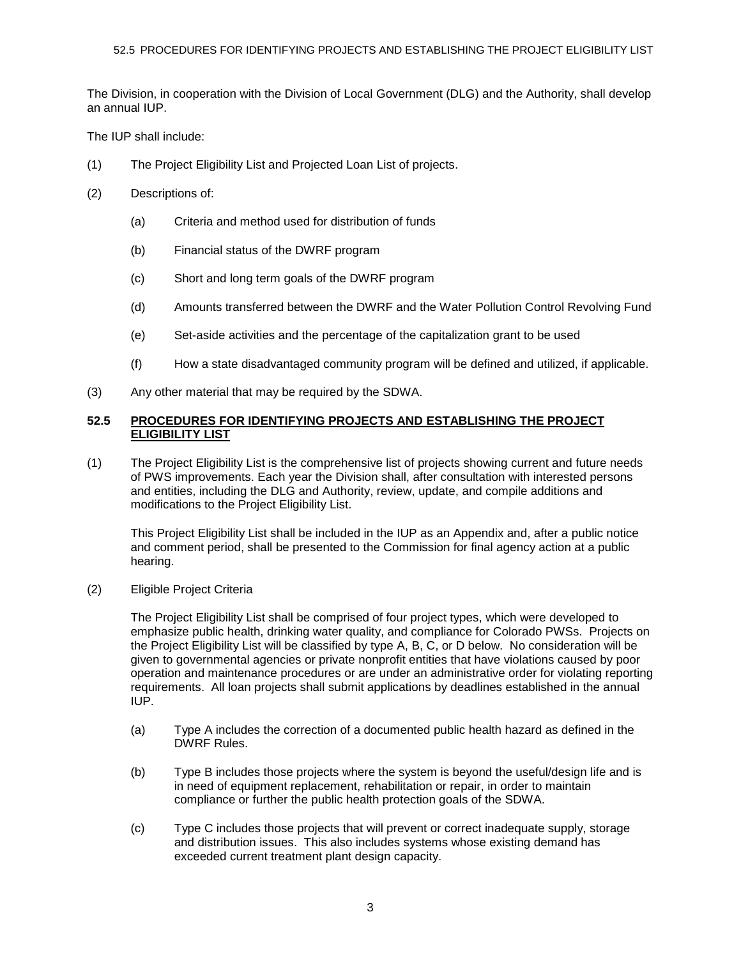The Division, in cooperation with the Division of Local Government (DLG) and the Authority, shall develop an annual IUP.

The IUP shall include:

- (1) The Project Eligibility List and Projected Loan List of projects.
- (2) Descriptions of:
	- (a) Criteria and method used for distribution of funds
	- (b) Financial status of the DWRF program
	- (c) Short and long term goals of the DWRF program
	- (d) Amounts transferred between the DWRF and the Water Pollution Control Revolving Fund
	- (e) Set-aside activities and the percentage of the capitalization grant to be used
	- (f) How a state disadvantaged community program will be defined and utilized, if applicable.
- (3) Any other material that may be required by the SDWA.

### **52.5 PROCEDURES FOR IDENTIFYING PROJECTS AND ESTABLISHING THE PROJECT ELIGIBILITY LIST**

(1) The Project Eligibility List is the comprehensive list of projects showing current and future needs of PWS improvements. Each year the Division shall, after consultation with interested persons and entities, including the DLG and Authority, review, update, and compile additions and modifications to the Project Eligibility List.

This Project Eligibility List shall be included in the IUP as an Appendix and, after a public notice and comment period, shall be presented to the Commission for final agency action at a public hearing.

(2) Eligible Project Criteria

The Project Eligibility List shall be comprised of four project types, which were developed to emphasize public health, drinking water quality, and compliance for Colorado PWSs. Projects on the Project Eligibility List will be classified by type A, B, C, or D below. No consideration will be given to governmental agencies or private nonprofit entities that have violations caused by poor operation and maintenance procedures or are under an administrative order for violating reporting requirements. All loan projects shall submit applications by deadlines established in the annual IUP.

- (a) Type A includes the correction of a documented public health hazard as defined in the DWRF Rules.
- (b) Type B includes those projects where the system is beyond the useful/design life and is in need of equipment replacement, rehabilitation or repair, in order to maintain compliance or further the public health protection goals of the SDWA.
- (c) Type C includes those projects that will prevent or correct inadequate supply, storage and distribution issues. This also includes systems whose existing demand has exceeded current treatment plant design capacity.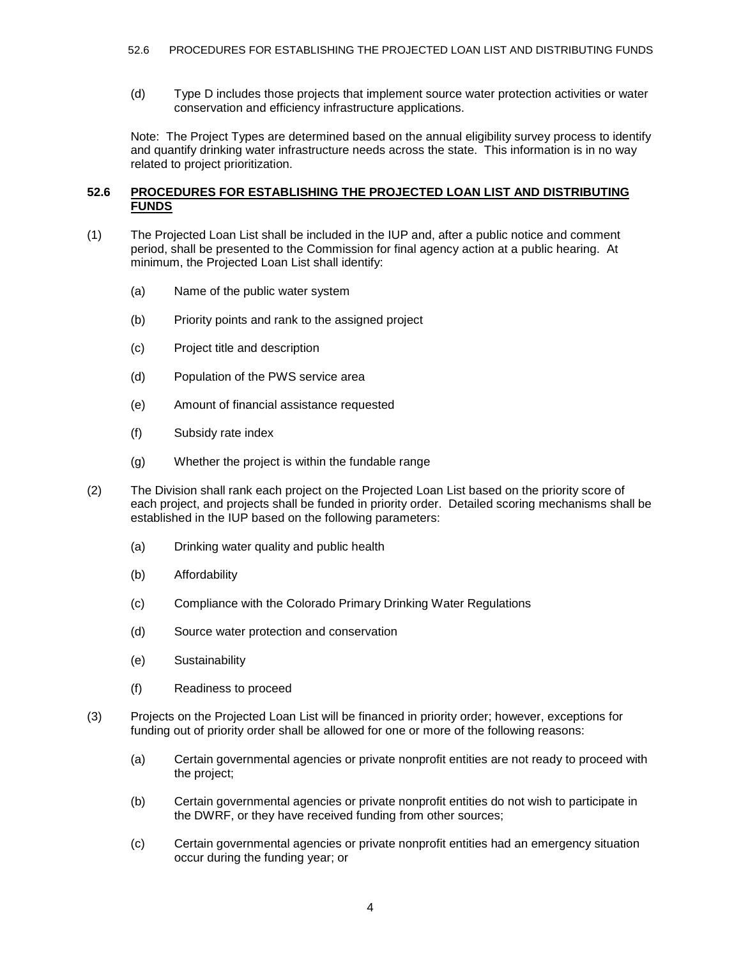(d) Type D includes those projects that implement source water protection activities or water conservation and efficiency infrastructure applications.

Note: The Project Types are determined based on the annual eligibility survey process to identify and quantify drinking water infrastructure needs across the state. This information is in no way related to project prioritization.

#### **52.6 PROCEDURES FOR ESTABLISHING THE PROJECTED LOAN LIST AND DISTRIBUTING FUNDS**

- (1) The Projected Loan List shall be included in the IUP and, after a public notice and comment period, shall be presented to the Commission for final agency action at a public hearing. At minimum, the Projected Loan List shall identify:
	- (a) Name of the public water system
	- (b) Priority points and rank to the assigned project
	- (c) Project title and description
	- (d) Population of the PWS service area
	- (e) Amount of financial assistance requested
	- (f) Subsidy rate index
	- (g) Whether the project is within the fundable range
- (2) The Division shall rank each project on the Projected Loan List based on the priority score of each project, and projects shall be funded in priority order. Detailed scoring mechanisms shall be established in the IUP based on the following parameters:
	- (a) Drinking water quality and public health
	- (b) Affordability
	- (c) Compliance with the Colorado Primary Drinking Water Regulations
	- (d) Source water protection and conservation
	- (e) Sustainability
	- (f) Readiness to proceed
- (3) Projects on the Projected Loan List will be financed in priority order; however, exceptions for funding out of priority order shall be allowed for one or more of the following reasons:
	- (a) Certain governmental agencies or private nonprofit entities are not ready to proceed with the project;
	- (b) Certain governmental agencies or private nonprofit entities do not wish to participate in the DWRF, or they have received funding from other sources;
	- (c) Certain governmental agencies or private nonprofit entities had an emergency situation occur during the funding year; or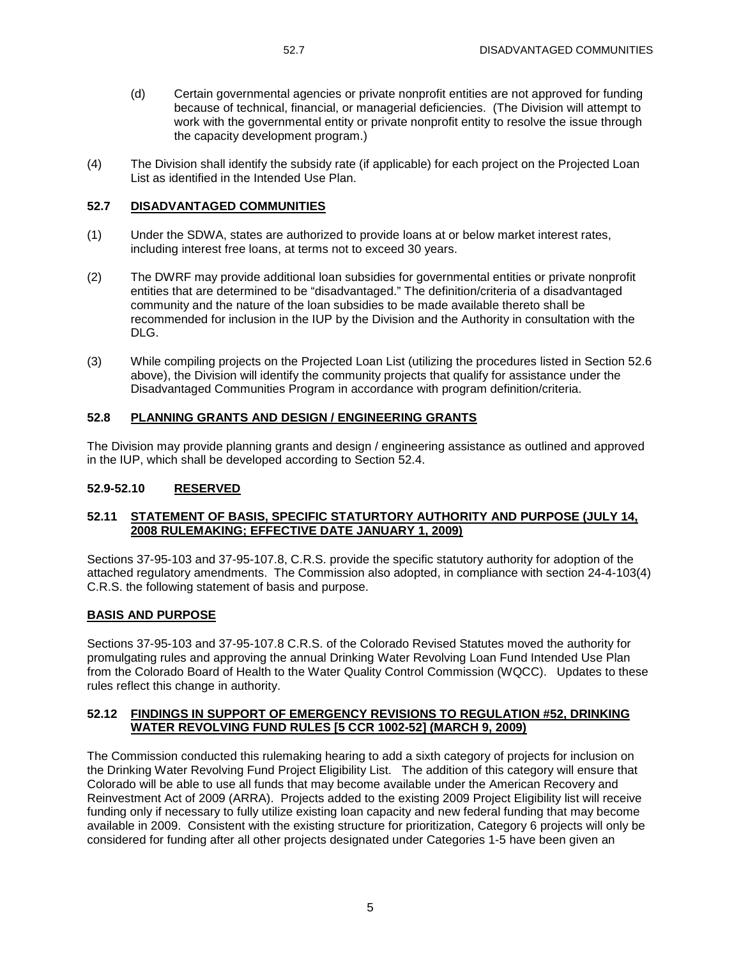- (d) Certain governmental agencies or private nonprofit entities are not approved for funding because of technical, financial, or managerial deficiencies. (The Division will attempt to work with the governmental entity or private nonprofit entity to resolve the issue through the capacity development program.)
- (4) The Division shall identify the subsidy rate (if applicable) for each project on the Projected Loan List as identified in the Intended Use Plan.

### **52.7 DISADVANTAGED COMMUNITIES**

- (1) Under the SDWA, states are authorized to provide loans at or below market interest rates, including interest free loans, at terms not to exceed 30 years.
- (2) The DWRF may provide additional loan subsidies for governmental entities or private nonprofit entities that are determined to be "disadvantaged." The definition/criteria of a disadvantaged community and the nature of the loan subsidies to be made available thereto shall be recommended for inclusion in the IUP by the Division and the Authority in consultation with the DLG.
- (3) While compiling projects on the Projected Loan List (utilizing the procedures listed in Section 52.6 above), the Division will identify the community projects that qualify for assistance under the Disadvantaged Communities Program in accordance with program definition/criteria.

#### **52.8 PLANNING GRANTS AND DESIGN / ENGINEERING GRANTS**

The Division may provide planning grants and design / engineering assistance as outlined and approved in the IUP, which shall be developed according to Section 52.4.

## **52.9-52.10 RESERVED**

#### **52.11 STATEMENT OF BASIS, SPECIFIC STATURTORY AUTHORITY AND PURPOSE (JULY 14, 2008 RULEMAKING; EFFECTIVE DATE JANUARY 1, 2009)**

Sections 37-95-103 and 37-95-107.8, C.R.S. provide the specific statutory authority for adoption of the attached regulatory amendments. The Commission also adopted, in compliance with section 24-4-103(4) C.R.S. the following statement of basis and purpose.

#### **BASIS AND PURPOSE**

Sections 37-95-103 and 37-95-107.8 C.R.S. of the Colorado Revised Statutes moved the authority for promulgating rules and approving the annual Drinking Water Revolving Loan Fund Intended Use Plan from the Colorado Board of Health to the Water Quality Control Commission (WQCC). Updates to these rules reflect this change in authority.

#### **52.12 FINDINGS IN SUPPORT OF EMERGENCY REVISIONS TO REGULATION #52, DRINKING WATER REVOLVING FUND RULES [5 CCR 1002-52] (MARCH 9, 2009)**

The Commission conducted this rulemaking hearing to add a sixth category of projects for inclusion on the Drinking Water Revolving Fund Project Eligibility List. The addition of this category will ensure that Colorado will be able to use all funds that may become available under the American Recovery and Reinvestment Act of 2009 (ARRA). Projects added to the existing 2009 Project Eligibility list will receive funding only if necessary to fully utilize existing loan capacity and new federal funding that may become available in 2009. Consistent with the existing structure for prioritization, Category 6 projects will only be considered for funding after all other projects designated under Categories 1-5 have been given an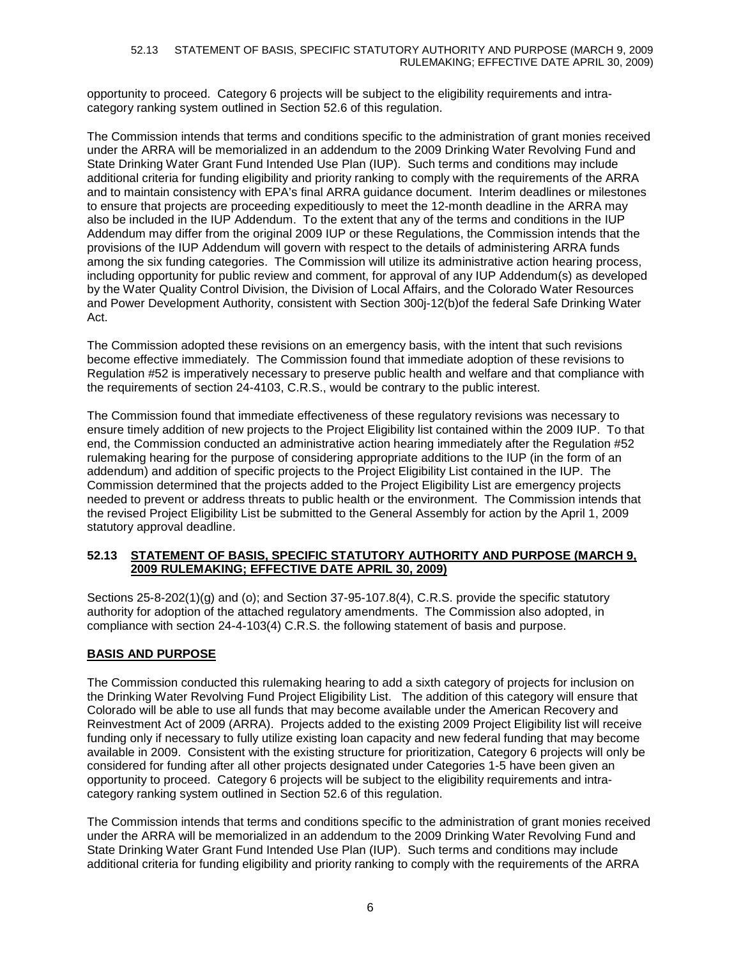#### 52.13 STATEMENT OF BASIS, SPECIFIC STATUTORY AUTHORITY AND PURPOSE (MARCH 9, 2009 RULEMAKING; EFFECTIVE DATE APRIL 30, 2009)

opportunity to proceed. Category 6 projects will be subject to the eligibility requirements and intracategory ranking system outlined in Section 52.6 of this regulation.

The Commission intends that terms and conditions specific to the administration of grant monies received under the ARRA will be memorialized in an addendum to the 2009 Drinking Water Revolving Fund and State Drinking Water Grant Fund Intended Use Plan (IUP). Such terms and conditions may include additional criteria for funding eligibility and priority ranking to comply with the requirements of the ARRA and to maintain consistency with EPA's final ARRA guidance document. Interim deadlines or milestones to ensure that projects are proceeding expeditiously to meet the 12-month deadline in the ARRA may also be included in the IUP Addendum. To the extent that any of the terms and conditions in the IUP Addendum may differ from the original 2009 IUP or these Regulations, the Commission intends that the provisions of the IUP Addendum will govern with respect to the details of administering ARRA funds among the six funding categories. The Commission will utilize its administrative action hearing process, including opportunity for public review and comment, for approval of any IUP Addendum(s) as developed by the Water Quality Control Division, the Division of Local Affairs, and the Colorado Water Resources and Power Development Authority, consistent with Section 300j-12(b)of the federal Safe Drinking Water Act.

The Commission adopted these revisions on an emergency basis, with the intent that such revisions become effective immediately. The Commission found that immediate adoption of these revisions to Regulation #52 is imperatively necessary to preserve public health and welfare and that compliance with the requirements of section 24-4103, C.R.S., would be contrary to the public interest.

The Commission found that immediate effectiveness of these regulatory revisions was necessary to ensure timely addition of new projects to the Project Eligibility list contained within the 2009 IUP. To that end, the Commission conducted an administrative action hearing immediately after the Regulation #52 rulemaking hearing for the purpose of considering appropriate additions to the IUP (in the form of an addendum) and addition of specific projects to the Project Eligibility List contained in the IUP. The Commission determined that the projects added to the Project Eligibility List are emergency projects needed to prevent or address threats to public health or the environment. The Commission intends that the revised Project Eligibility List be submitted to the General Assembly for action by the April 1, 2009 statutory approval deadline.

#### **52.13 STATEMENT OF BASIS, SPECIFIC STATUTORY AUTHORITY AND PURPOSE (MARCH 9, 2009 RULEMAKING; EFFECTIVE DATE APRIL 30, 2009)**

Sections 25-8-202(1)(g) and (o); and Section 37-95-107.8(4), C.R.S. provide the specific statutory authority for adoption of the attached regulatory amendments. The Commission also adopted, in compliance with section 24-4-103(4) C.R.S. the following statement of basis and purpose.

## **BASIS AND PURPOSE**

The Commission conducted this rulemaking hearing to add a sixth category of projects for inclusion on the Drinking Water Revolving Fund Project Eligibility List. The addition of this category will ensure that Colorado will be able to use all funds that may become available under the American Recovery and Reinvestment Act of 2009 (ARRA). Projects added to the existing 2009 Project Eligibility list will receive funding only if necessary to fully utilize existing loan capacity and new federal funding that may become available in 2009. Consistent with the existing structure for prioritization, Category 6 projects will only be considered for funding after all other projects designated under Categories 1-5 have been given an opportunity to proceed. Category 6 projects will be subject to the eligibility requirements and intracategory ranking system outlined in Section 52.6 of this regulation.

The Commission intends that terms and conditions specific to the administration of grant monies received under the ARRA will be memorialized in an addendum to the 2009 Drinking Water Revolving Fund and State Drinking Water Grant Fund Intended Use Plan (IUP). Such terms and conditions may include additional criteria for funding eligibility and priority ranking to comply with the requirements of the ARRA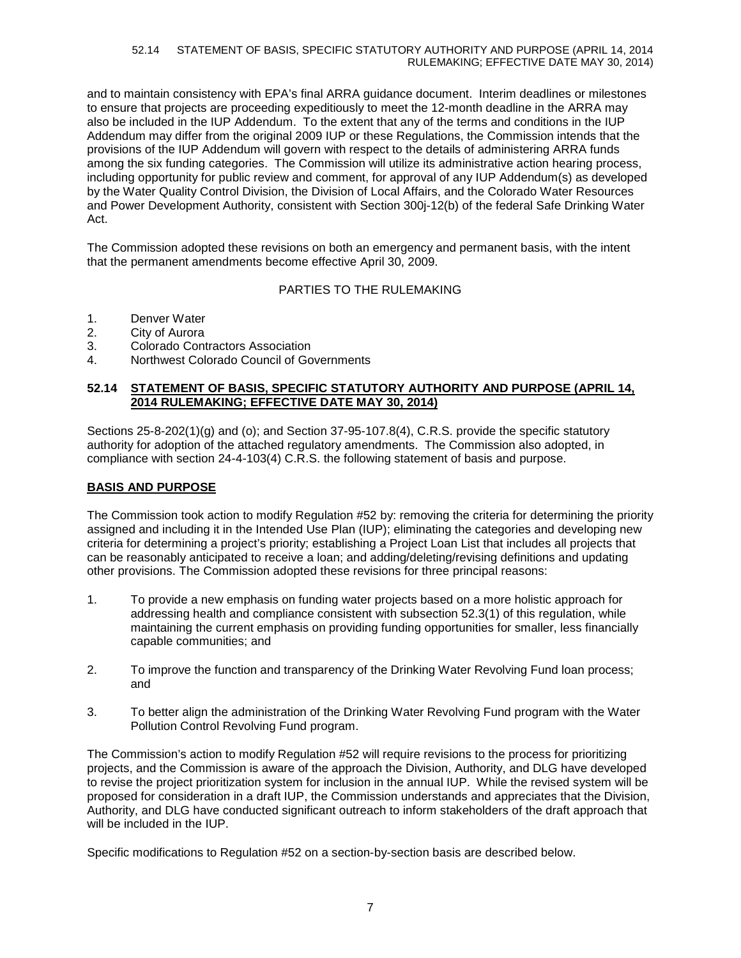and to maintain consistency with EPA's final ARRA guidance document. Interim deadlines or milestones to ensure that projects are proceeding expeditiously to meet the 12-month deadline in the ARRA may also be included in the IUP Addendum. To the extent that any of the terms and conditions in the IUP Addendum may differ from the original 2009 IUP or these Regulations, the Commission intends that the provisions of the IUP Addendum will govern with respect to the details of administering ARRA funds among the six funding categories. The Commission will utilize its administrative action hearing process, including opportunity for public review and comment, for approval of any IUP Addendum(s) as developed by the Water Quality Control Division, the Division of Local Affairs, and the Colorado Water Resources and Power Development Authority, consistent with Section 300j-12(b) of the federal Safe Drinking Water Act.

The Commission adopted these revisions on both an emergency and permanent basis, with the intent that the permanent amendments become effective April 30, 2009.

## PARTIES TO THE RULEMAKING

- 1. Denver Water
- 2. City of Aurora<br>3. Colorado Cont
- Colorado Contractors Association
- 4. Northwest Colorado Council of Governments

#### **52.14 STATEMENT OF BASIS, SPECIFIC STATUTORY AUTHORITY AND PURPOSE (APRIL 14, 2014 RULEMAKING; EFFECTIVE DATE MAY 30, 2014)**

Sections 25-8-202(1)(g) and (o); and Section 37-95-107.8(4), C.R.S. provide the specific statutory authority for adoption of the attached regulatory amendments. The Commission also adopted, in compliance with section 24-4-103(4) C.R.S. the following statement of basis and purpose.

### **BASIS AND PURPOSE**

The Commission took action to modify Regulation #52 by: removing the criteria for determining the priority assigned and including it in the Intended Use Plan (IUP); eliminating the categories and developing new criteria for determining a project's priority; establishing a Project Loan List that includes all projects that can be reasonably anticipated to receive a loan; and adding/deleting/revising definitions and updating other provisions. The Commission adopted these revisions for three principal reasons:

- 1. To provide a new emphasis on funding water projects based on a more holistic approach for addressing health and compliance consistent with subsection 52.3(1) of this regulation, while maintaining the current emphasis on providing funding opportunities for smaller, less financially capable communities; and
- 2. To improve the function and transparency of the Drinking Water Revolving Fund loan process; and
- 3. To better align the administration of the Drinking Water Revolving Fund program with the Water Pollution Control Revolving Fund program.

The Commission's action to modify Regulation #52 will require revisions to the process for prioritizing projects, and the Commission is aware of the approach the Division, Authority, and DLG have developed to revise the project prioritization system for inclusion in the annual IUP. While the revised system will be proposed for consideration in a draft IUP, the Commission understands and appreciates that the Division, Authority, and DLG have conducted significant outreach to inform stakeholders of the draft approach that will be included in the IUP.

Specific modifications to Regulation #52 on a section-by-section basis are described below.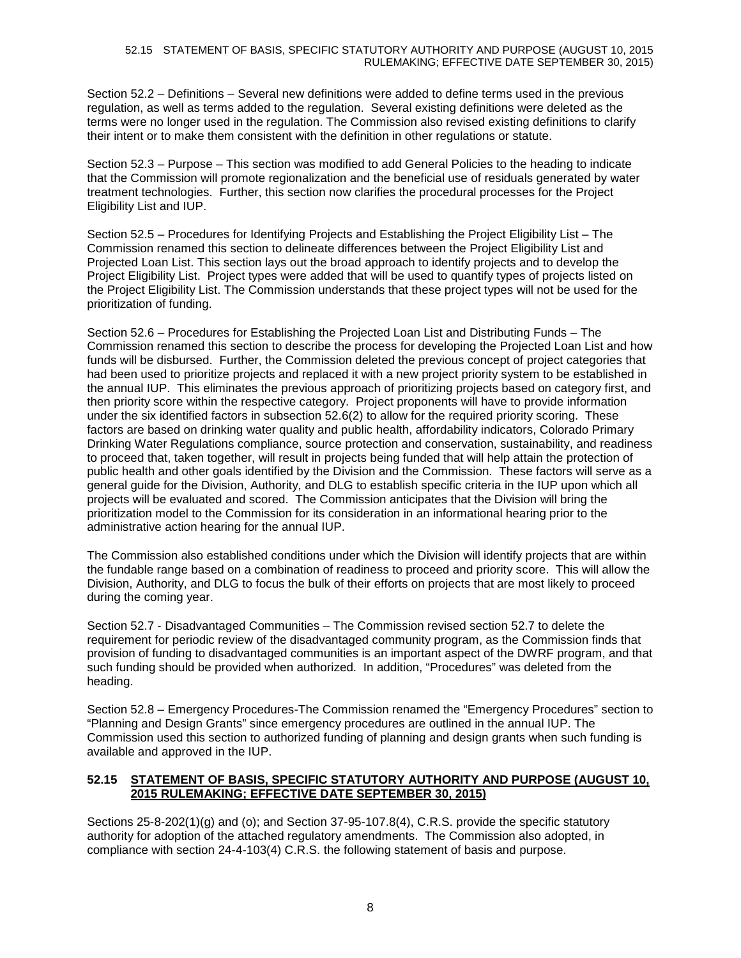Section 52.2 – Definitions – Several new definitions were added to define terms used in the previous regulation, as well as terms added to the regulation. Several existing definitions were deleted as the terms were no longer used in the regulation. The Commission also revised existing definitions to clarify their intent or to make them consistent with the definition in other regulations or statute.

Section 52.3 – Purpose – This section was modified to add General Policies to the heading to indicate that the Commission will promote regionalization and the beneficial use of residuals generated by water treatment technologies. Further, this section now clarifies the procedural processes for the Project Eligibility List and IUP.

Section 52.5 – Procedures for Identifying Projects and Establishing the Project Eligibility List – The Commission renamed this section to delineate differences between the Project Eligibility List and Projected Loan List. This section lays out the broad approach to identify projects and to develop the Project Eligibility List. Project types were added that will be used to quantify types of projects listed on the Project Eligibility List. The Commission understands that these project types will not be used for the prioritization of funding.

Section 52.6 – Procedures for Establishing the Projected Loan List and Distributing Funds – The Commission renamed this section to describe the process for developing the Projected Loan List and how funds will be disbursed. Further, the Commission deleted the previous concept of project categories that had been used to prioritize projects and replaced it with a new project priority system to be established in the annual IUP. This eliminates the previous approach of prioritizing projects based on category first, and then priority score within the respective category. Project proponents will have to provide information under the six identified factors in subsection 52.6(2) to allow for the required priority scoring. These factors are based on drinking water quality and public health, affordability indicators, Colorado Primary Drinking Water Regulations compliance, source protection and conservation, sustainability, and readiness to proceed that, taken together, will result in projects being funded that will help attain the protection of public health and other goals identified by the Division and the Commission. These factors will serve as a general guide for the Division, Authority, and DLG to establish specific criteria in the IUP upon which all projects will be evaluated and scored. The Commission anticipates that the Division will bring the prioritization model to the Commission for its consideration in an informational hearing prior to the administrative action hearing for the annual IUP.

The Commission also established conditions under which the Division will identify projects that are within the fundable range based on a combination of readiness to proceed and priority score. This will allow the Division, Authority, and DLG to focus the bulk of their efforts on projects that are most likely to proceed during the coming year.

Section 52.7 - Disadvantaged Communities – The Commission revised section 52.7 to delete the requirement for periodic review of the disadvantaged community program, as the Commission finds that provision of funding to disadvantaged communities is an important aspect of the DWRF program, and that such funding should be provided when authorized. In addition, "Procedures" was deleted from the heading.

Section 52.8 – Emergency Procedures-The Commission renamed the "Emergency Procedures" section to "Planning and Design Grants" since emergency procedures are outlined in the annual IUP. The Commission used this section to authorized funding of planning and design grants when such funding is available and approved in the IUP.

## **52.15 STATEMENT OF BASIS, SPECIFIC STATUTORY AUTHORITY AND PURPOSE (AUGUST 10, 2015 RULEMAKING; EFFECTIVE DATE SEPTEMBER 30, 2015)**

Sections 25-8-202(1)(g) and (o); and Section 37-95-107.8(4), C.R.S. provide the specific statutory authority for adoption of the attached regulatory amendments. The Commission also adopted, in compliance with section 24-4-103(4) C.R.S. the following statement of basis and purpose.